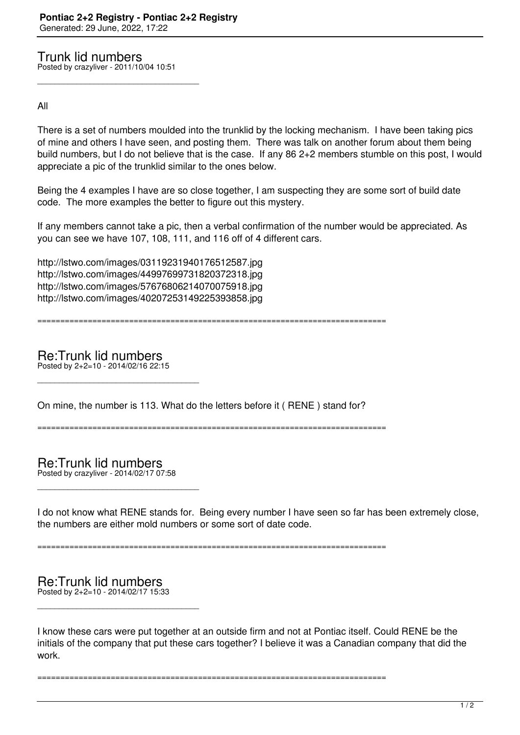Trunk lid numbers Posted by crazyliver - 2011/10/04 10:51

\_\_\_\_\_\_\_\_\_\_\_\_\_\_\_\_\_\_\_\_\_\_\_\_\_\_\_\_\_\_\_\_\_\_\_\_\_

All

There is a set of numbers moulded into the trunklid by the locking mechanism. I have been taking pics of mine and others I have seen, and posting them. There was talk on another forum about them being build numbers, but I do not believe that is the case. If any 86 2+2 members stumble on this post, I would appreciate a pic of the trunklid similar to the ones below.

Being the 4 examples I have are so close together, I am suspecting they are some sort of build date code. The more examples the better to figure out this mystery.

If any members cannot take a pic, then a verbal confirmation of the number would be appreciated. As you can see we have 107, 108, 111, and 116 off of 4 different cars.

http://lstwo.com/images/03119231940176512587.jpg http://lstwo.com/images/44997699731820372318.jpg http://lstwo.com/images/57676806214070075918.jpg http://lstwo.com/images/40207253149225393858.jpg

============================================================================

Re:Trunk lid numbers Posted by 2+2=10 - 2014/02/16 22:15

\_\_\_\_\_\_\_\_\_\_\_\_\_\_\_\_\_\_\_\_\_\_\_\_\_\_\_\_\_\_\_\_\_\_\_\_\_

On mine, the number is 113. What do the letters before it ( RENE ) stand for?

============================================================================

Re:Trunk lid numbers

Posted by crazyliver - 2014/02/17 07:58

\_\_\_\_\_\_\_\_\_\_\_\_\_\_\_\_\_\_\_\_\_\_\_\_\_\_\_\_\_\_\_\_\_\_\_\_\_

I do not know what RENE stands for. Being every number I have seen so far has been extremely close, the numbers are either mold numbers or some sort of date code.

============================================================================

## Re:Trunk lid numbers Posted by 2+2=10 - 2014/02/17 15:33

\_\_\_\_\_\_\_\_\_\_\_\_\_\_\_\_\_\_\_\_\_\_\_\_\_\_\_\_\_\_\_\_\_\_\_\_\_

I know these cars were put together at an outside firm and not at Pontiac itself. Could RENE be the initials of the company that put these cars together? I believe it was a Canadian company that did the work.

============================================================================